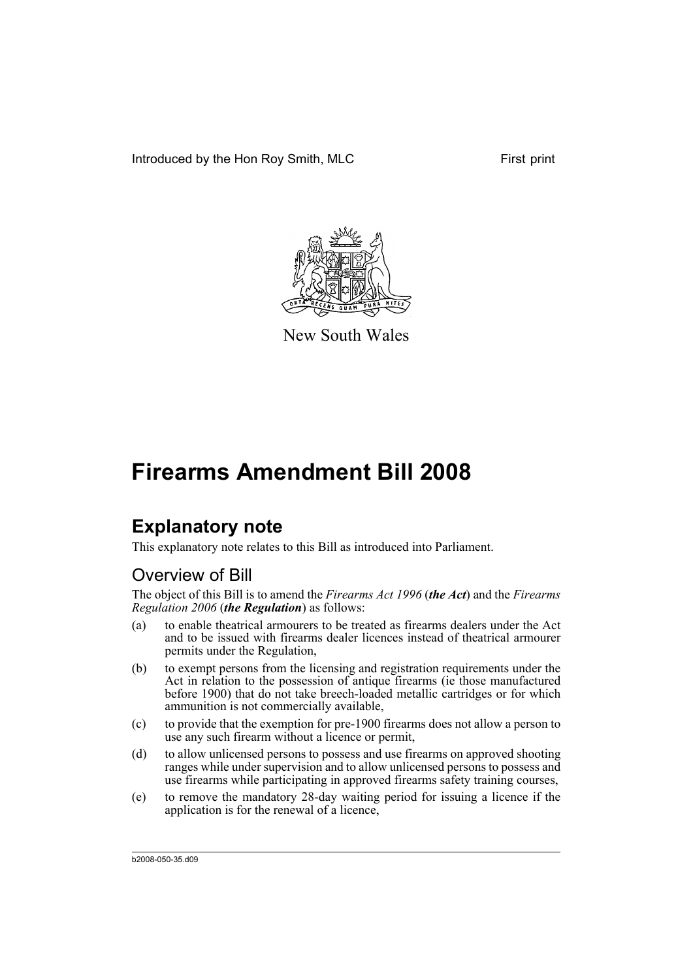Introduced by the Hon Roy Smith, MLC First print



New South Wales

# **Firearms Amendment Bill 2008**

## **Explanatory note**

This explanatory note relates to this Bill as introduced into Parliament.

### Overview of Bill

The object of this Bill is to amend the *Firearms Act 1996* (*the Act*) and the *Firearms Regulation 2006* (*the Regulation*) as follows:

- (a) to enable theatrical armourers to be treated as firearms dealers under the Act and to be issued with firearms dealer licences instead of theatrical armourer permits under the Regulation,
- (b) to exempt persons from the licensing and registration requirements under the Act in relation to the possession of antique firearms (ie those manufactured before 1900) that do not take breech-loaded metallic cartridges or for which ammunition is not commercially available,
- (c) to provide that the exemption for pre-1900 firearms does not allow a person to use any such firearm without a licence or permit,
- (d) to allow unlicensed persons to possess and use firearms on approved shooting ranges while under supervision and to allow unlicensed persons to possess and use firearms while participating in approved firearms safety training courses,
- (e) to remove the mandatory 28-day waiting period for issuing a licence if the application is for the renewal of a licence,

b2008-050-35.d09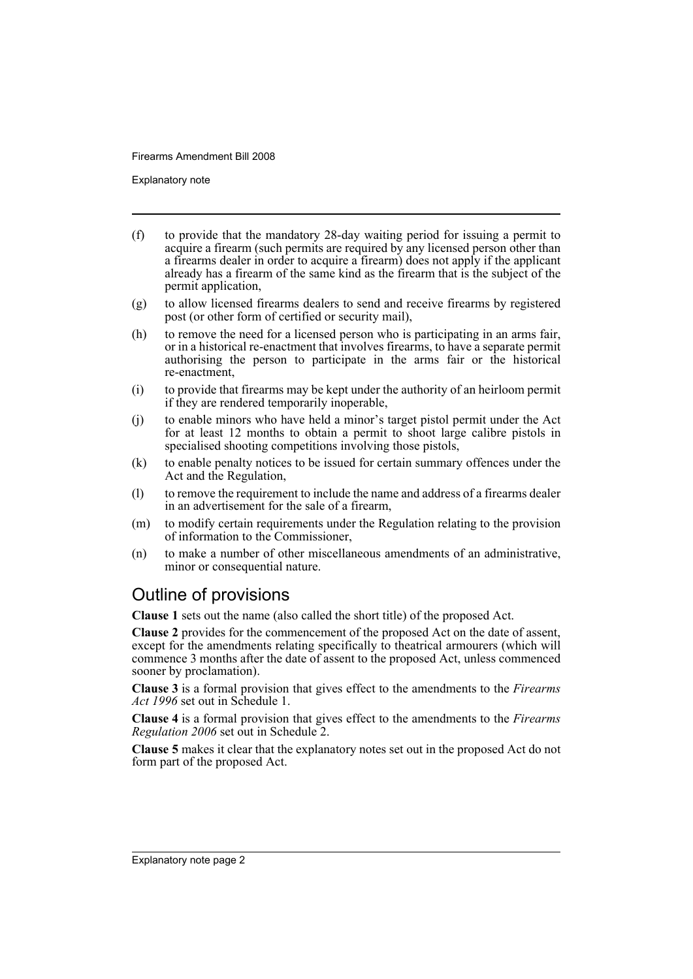Explanatory note

- (f) to provide that the mandatory 28-day waiting period for issuing a permit to acquire a firearm (such permits are required by any licensed person other than a firearms dealer in order to acquire a firearm) does not apply if the applicant already has a firearm of the same kind as the firearm that is the subject of the permit application,
- (g) to allow licensed firearms dealers to send and receive firearms by registered post (or other form of certified or security mail),
- (h) to remove the need for a licensed person who is participating in an arms fair, or in a historical re-enactment that involves firearms, to have a separate permit authorising the person to participate in the arms fair or the historical re-enactment,
- (i) to provide that firearms may be kept under the authority of an heirloom permit if they are rendered temporarily inoperable,
- (j) to enable minors who have held a minor's target pistol permit under the Act for at least 12 months to obtain a permit to shoot large calibre pistols in specialised shooting competitions involving those pistols,
- (k) to enable penalty notices to be issued for certain summary offences under the Act and the Regulation,
- (l) to remove the requirement to include the name and address of a firearms dealer in an advertisement for the sale of a firearm,
- (m) to modify certain requirements under the Regulation relating to the provision of information to the Commissioner,
- (n) to make a number of other miscellaneous amendments of an administrative, minor or consequential nature.

### Outline of provisions

**Clause 1** sets out the name (also called the short title) of the proposed Act.

**Clause 2** provides for the commencement of the proposed Act on the date of assent, except for the amendments relating specifically to theatrical armourers (which will commence 3 months after the date of assent to the proposed Act, unless commenced sooner by proclamation).

**Clause 3** is a formal provision that gives effect to the amendments to the *Firearms Act 1996* set out in Schedule 1.

**Clause 4** is a formal provision that gives effect to the amendments to the *Firearms Regulation 2006* set out in Schedule 2.

**Clause 5** makes it clear that the explanatory notes set out in the proposed Act do not form part of the proposed Act.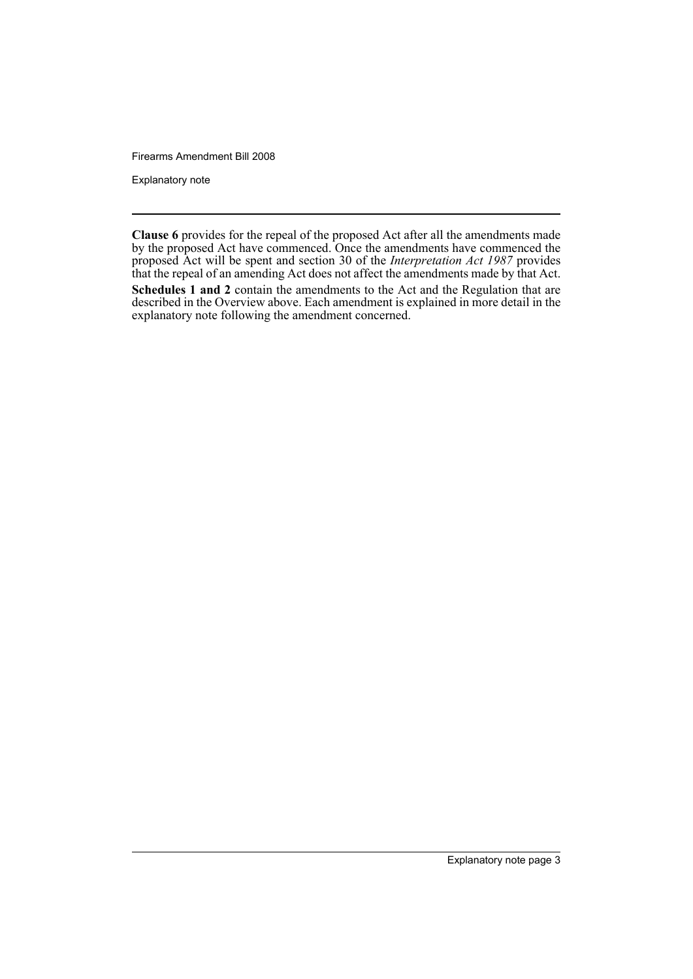Explanatory note

**Clause 6** provides for the repeal of the proposed Act after all the amendments made by the proposed Act have commenced. Once the amendments have commenced the proposed Act will be spent and section 30 of the *Interpretation Act 1987* provides that the repeal of an amending Act does not affect the amendments made by that Act. **Schedules 1 and 2** contain the amendments to the Act and the Regulation that are described in the Overview above. Each amendment is explained in more detail in the explanatory note following the amendment concerned.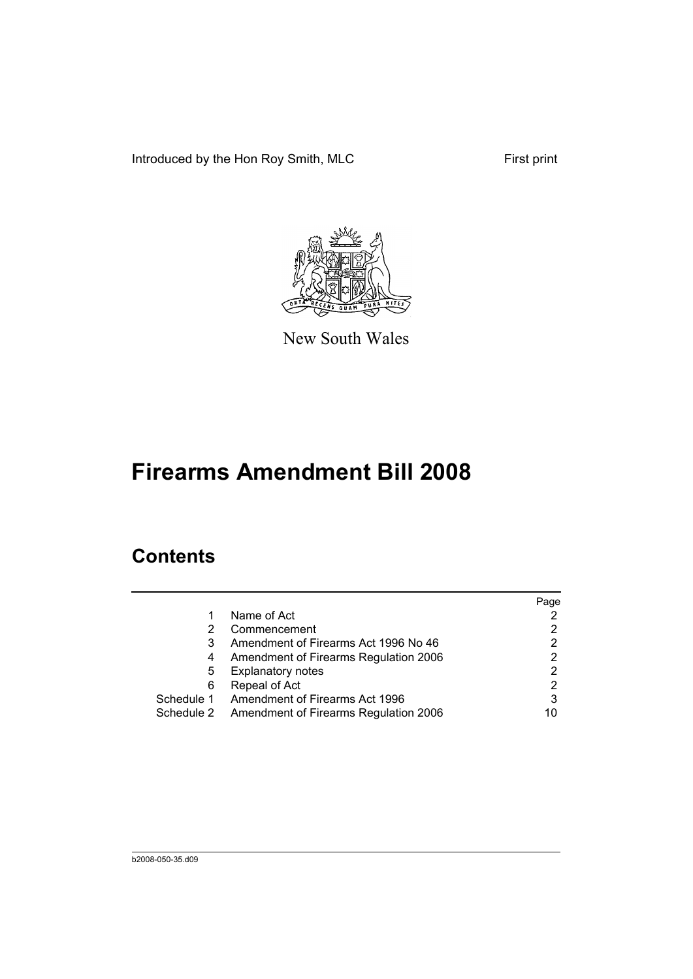Introduced by the Hon Roy Smith, MLC First print



New South Wales

# **Firearms Amendment Bill 2008**

## **Contents**

|   |                                                  | Page |
|---|--------------------------------------------------|------|
|   | Name of Act                                      |      |
| 2 | Commencement                                     |      |
| 3 | Amendment of Firearms Act 1996 No 46             |      |
| 4 | Amendment of Firearms Regulation 2006            |      |
| 5 | <b>Explanatory notes</b>                         | 2    |
| 6 | Repeal of Act                                    | 2    |
|   | Schedule 1 Amendment of Firearms Act 1996        | 3    |
|   | Schedule 2 Amendment of Firearms Regulation 2006 | 10   |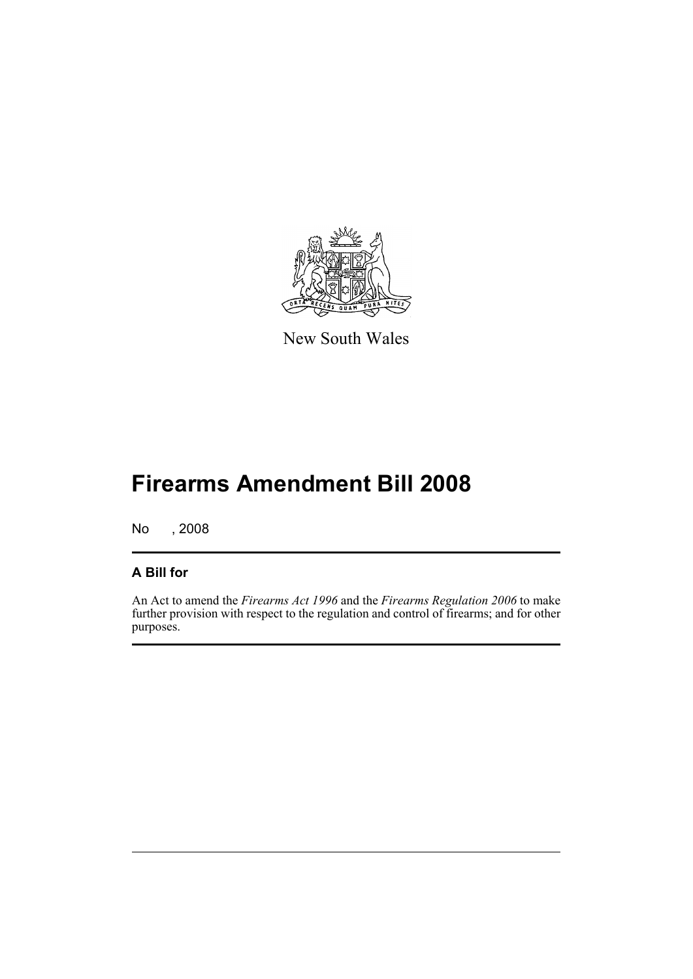

New South Wales

# **Firearms Amendment Bill 2008**

No , 2008

### **A Bill for**

An Act to amend the *Firearms Act 1996* and the *Firearms Regulation 2006* to make further provision with respect to the regulation and control of firearms; and for other purposes.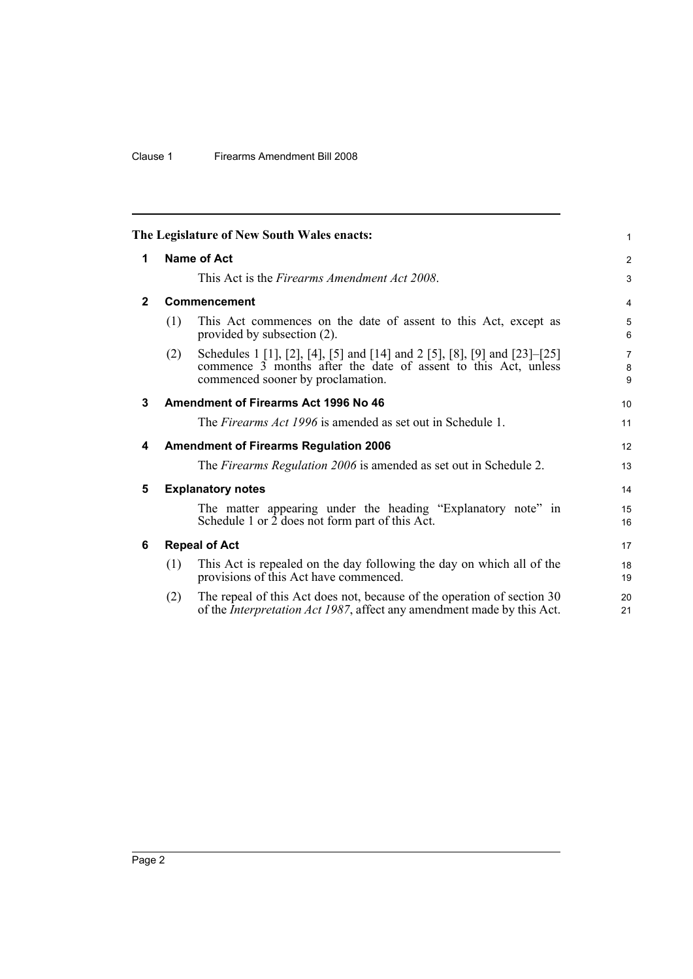#### Clause 1 Firearms Amendment Bill 2008

<span id="page-7-5"></span><span id="page-7-4"></span><span id="page-7-3"></span><span id="page-7-2"></span><span id="page-7-1"></span><span id="page-7-0"></span>

|              |                                              | The Legislature of New South Wales enacts:                                                                                                                                       | 1              |  |  |  |
|--------------|----------------------------------------------|----------------------------------------------------------------------------------------------------------------------------------------------------------------------------------|----------------|--|--|--|
| 1            |                                              | <b>Name of Act</b>                                                                                                                                                               | $\overline{2}$ |  |  |  |
|              | This Act is the Firearms Amendment Act 2008. |                                                                                                                                                                                  |                |  |  |  |
| $\mathbf{2}$ |                                              | <b>Commencement</b>                                                                                                                                                              | 4              |  |  |  |
|              | (1)                                          | This Act commences on the date of assent to this Act, except as<br>provided by subsection (2).                                                                                   | 5<br>6         |  |  |  |
|              | (2)                                          | Schedules 1 [1], [2], [4], [5] and [14] and 2 [5], [8], [9] and [23]–[25]<br>commence 3 months after the date of assent to this Act, unless<br>commenced sooner by proclamation. | 7<br>8<br>9    |  |  |  |
| 3            |                                              | Amendment of Firearms Act 1996 No 46                                                                                                                                             | 10             |  |  |  |
|              |                                              | The <i>Firearms Act 1996</i> is amended as set out in Schedule 1.                                                                                                                | 11             |  |  |  |
| 4            |                                              | <b>Amendment of Firearms Regulation 2006</b>                                                                                                                                     | 12             |  |  |  |
|              |                                              | The <i>Firearms Regulation 2006</i> is amended as set out in Schedule 2.                                                                                                         | 13             |  |  |  |
| 5            |                                              | <b>Explanatory notes</b>                                                                                                                                                         | 14             |  |  |  |
|              |                                              | The matter appearing under the heading "Explanatory note" in<br>Schedule 1 or 2 does not form part of this Act.                                                                  | 15<br>16       |  |  |  |
| 6            |                                              | <b>Repeal of Act</b>                                                                                                                                                             | 17             |  |  |  |
|              | (1)                                          | This Act is repealed on the day following the day on which all of the<br>provisions of this Act have commenced.                                                                  | 18<br>19       |  |  |  |
|              | (2)                                          | The repeal of this Act does not, because of the operation of section 30<br>of the <i>Interpretation Act 1987</i> , affect any amendment made by this Act.                        | 20<br>21       |  |  |  |
|              |                                              |                                                                                                                                                                                  |                |  |  |  |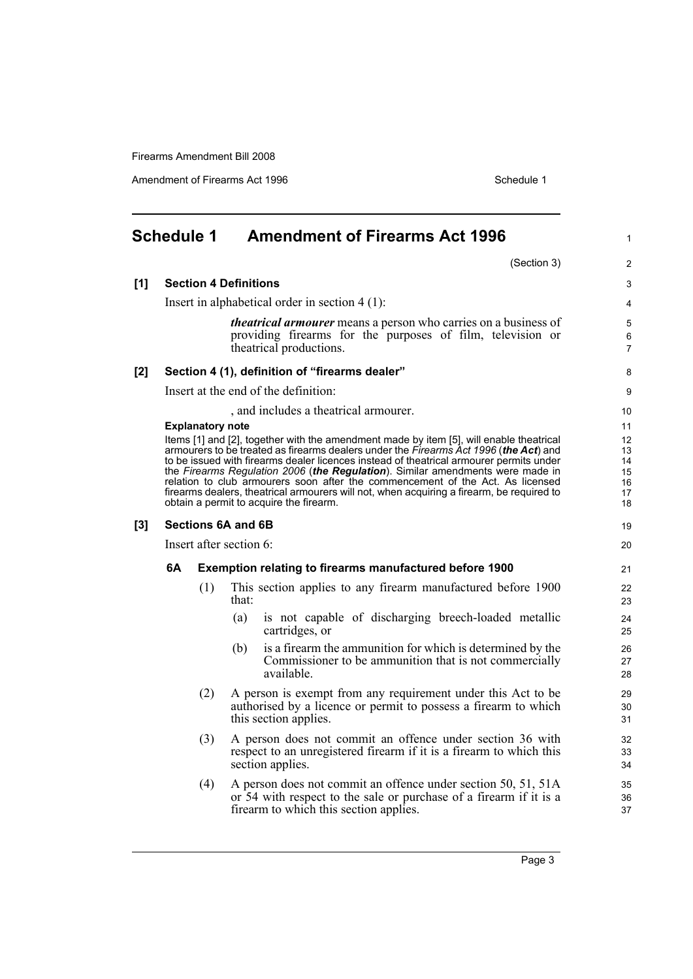Amendment of Firearms Act 1996 Schedule 1

<span id="page-8-0"></span>

|       | <b>Schedule 1</b> |                         |                              | <b>Amendment of Firearms Act 1996</b>                                                                                                                                                                                                                                                                                                                                                                                                                                                                                                                                                   | $\mathbf{1}$                           |
|-------|-------------------|-------------------------|------------------------------|-----------------------------------------------------------------------------------------------------------------------------------------------------------------------------------------------------------------------------------------------------------------------------------------------------------------------------------------------------------------------------------------------------------------------------------------------------------------------------------------------------------------------------------------------------------------------------------------|----------------------------------------|
|       |                   |                         |                              | (Section 3)                                                                                                                                                                                                                                                                                                                                                                                                                                                                                                                                                                             | $\overline{c}$                         |
| [1]   |                   |                         | <b>Section 4 Definitions</b> |                                                                                                                                                                                                                                                                                                                                                                                                                                                                                                                                                                                         | 3                                      |
|       |                   |                         |                              | Insert in alphabetical order in section $4(1)$ :                                                                                                                                                                                                                                                                                                                                                                                                                                                                                                                                        | 4                                      |
|       |                   |                         |                              | <i>theatrical armourer</i> means a person who carries on a business of<br>providing firearms for the purposes of film, television or<br>theatrical productions.                                                                                                                                                                                                                                                                                                                                                                                                                         | 5<br>6<br>$\overline{7}$               |
| [2]   |                   |                         |                              | Section 4 (1), definition of "firearms dealer"                                                                                                                                                                                                                                                                                                                                                                                                                                                                                                                                          | 8                                      |
|       |                   |                         |                              | Insert at the end of the definition:                                                                                                                                                                                                                                                                                                                                                                                                                                                                                                                                                    | 9                                      |
|       |                   |                         |                              | , and includes a theatrical armourer.                                                                                                                                                                                                                                                                                                                                                                                                                                                                                                                                                   | 10                                     |
|       |                   | <b>Explanatory note</b> |                              |                                                                                                                                                                                                                                                                                                                                                                                                                                                                                                                                                                                         | 11                                     |
|       |                   |                         |                              | Items [1] and [2], together with the amendment made by item [5], will enable theatrical<br>armourers to be treated as firearms dealers under the Firearms Act 1996 (the Act) and<br>to be issued with firearms dealer licences instead of theatrical armourer permits under<br>the Firearms Regulation 2006 (the Regulation). Similar amendments were made in<br>relation to club armourers soon after the commencement of the Act. As licensed<br>firearms dealers, theatrical armourers will not, when acquiring a firearm, be required to<br>obtain a permit to acquire the firearm. | 12<br>13<br>14<br>15<br>16<br>17<br>18 |
| $[3]$ |                   |                         | <b>Sections 6A and 6B</b>    |                                                                                                                                                                                                                                                                                                                                                                                                                                                                                                                                                                                         | 19                                     |
|       |                   |                         | Insert after section 6:      |                                                                                                                                                                                                                                                                                                                                                                                                                                                                                                                                                                                         | 20                                     |
|       | 6A                |                         |                              | <b>Exemption relating to firearms manufactured before 1900</b>                                                                                                                                                                                                                                                                                                                                                                                                                                                                                                                          | 21                                     |
|       |                   | (1)                     | that:                        | This section applies to any firearm manufactured before 1900                                                                                                                                                                                                                                                                                                                                                                                                                                                                                                                            | 22<br>23                               |
|       |                   |                         | (a)                          | is not capable of discharging breech-loaded metallic<br>cartridges, or                                                                                                                                                                                                                                                                                                                                                                                                                                                                                                                  | 24<br>25                               |
|       |                   |                         | (b)                          | is a firearm the ammunition for which is determined by the<br>Commissioner to be ammunition that is not commercially<br>available.                                                                                                                                                                                                                                                                                                                                                                                                                                                      | 26<br>27<br>28                         |
|       |                   | (2)                     |                              | A person is exempt from any requirement under this Act to be<br>authorised by a licence or permit to possess a firearm to which<br>this section applies.                                                                                                                                                                                                                                                                                                                                                                                                                                | 29<br>30<br>31                         |
|       |                   | (3)                     |                              | A person does not commit an offence under section 36 with<br>respect to an unregistered firearm if it is a firearm to which this<br>section applies.                                                                                                                                                                                                                                                                                                                                                                                                                                    | 32<br>33<br>34                         |
|       |                   | (4)                     |                              | A person does not commit an offence under section 50, 51, 51A<br>or 54 with respect to the sale or purchase of a firearm if it is a<br>firearm to which this section applies.                                                                                                                                                                                                                                                                                                                                                                                                           | 35<br>36<br>37                         |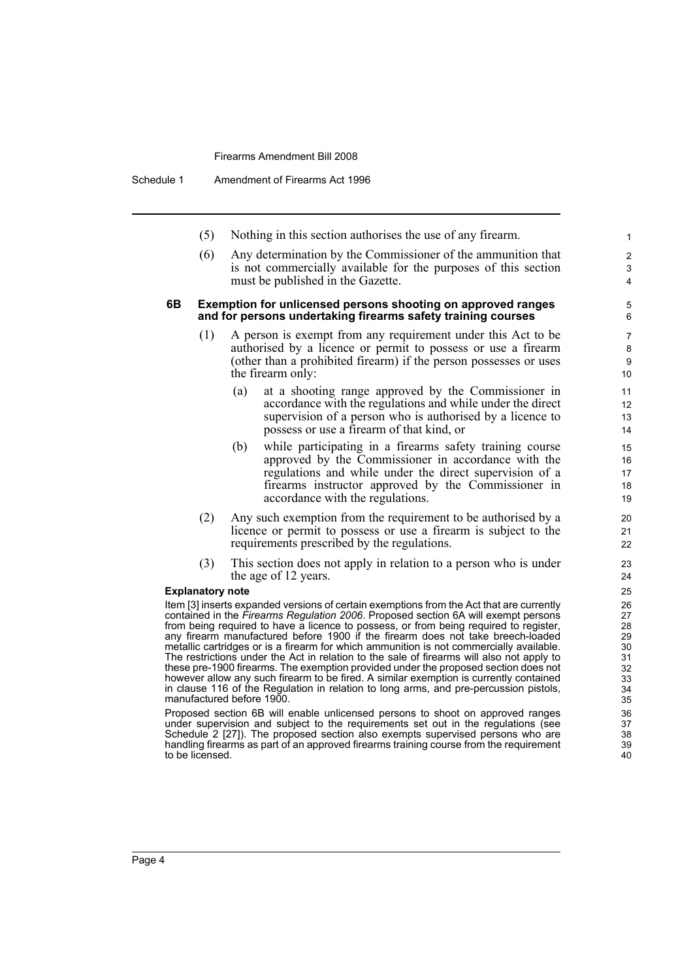Schedule 1 Amendment of Firearms Act 1996

- (5) Nothing in this section authorises the use of any firearm.
- (6) Any determination by the Commissioner of the ammunition that is not commercially available for the purposes of this section must be published in the Gazette.

#### **6B Exemption for unlicensed persons shooting on approved ranges and for persons undertaking firearms safety training courses**

- A person is exempt from any requirement under this Act to be authorised by a licence or permit to possess or use a firearm (other than a prohibited firearm) if the person possesses or uses the firearm only:
	- (a) at a shooting range approved by the Commissioner in accordance with the regulations and while under the direct supervision of a person who is authorised by a licence to possess or use a firearm of that kind, or
	- (b) while participating in a firearms safety training course approved by the Commissioner in accordance with the regulations and while under the direct supervision of a firearms instructor approved by the Commissioner in accordance with the regulations.
- (2) Any such exemption from the requirement to be authorised by a licence or permit to possess or use a firearm is subject to the requirements prescribed by the regulations.
- (3) This section does not apply in relation to a person who is under the age of 12 years.

#### **Explanatory note**

Item [3] inserts expanded versions of certain exemptions from the Act that are currently contained in the *Firearms Regulation 2006*. Proposed section 6A will exempt persons from being required to have a licence to possess, or from being required to register, any firearm manufactured before 1900 if the firearm does not take breech-loaded metallic cartridges or is a firearm for which ammunition is not commercially available. The restrictions under the Act in relation to the sale of firearms will also not apply to these pre-1900 firearms. The exemption provided under the proposed section does not however allow any such firearm to be fired. A similar exemption is currently contained in clause 116 of the Regulation in relation to long arms, and pre-percussion pistols, manufactured before 1900.

Proposed section 6B will enable unlicensed persons to shoot on approved ranges under supervision and subject to the requirements set out in the regulations (see Schedule 2 [27]). The proposed section also exempts supervised persons who are handling firearms as part of an approved firearms training course from the requirement to be licensed.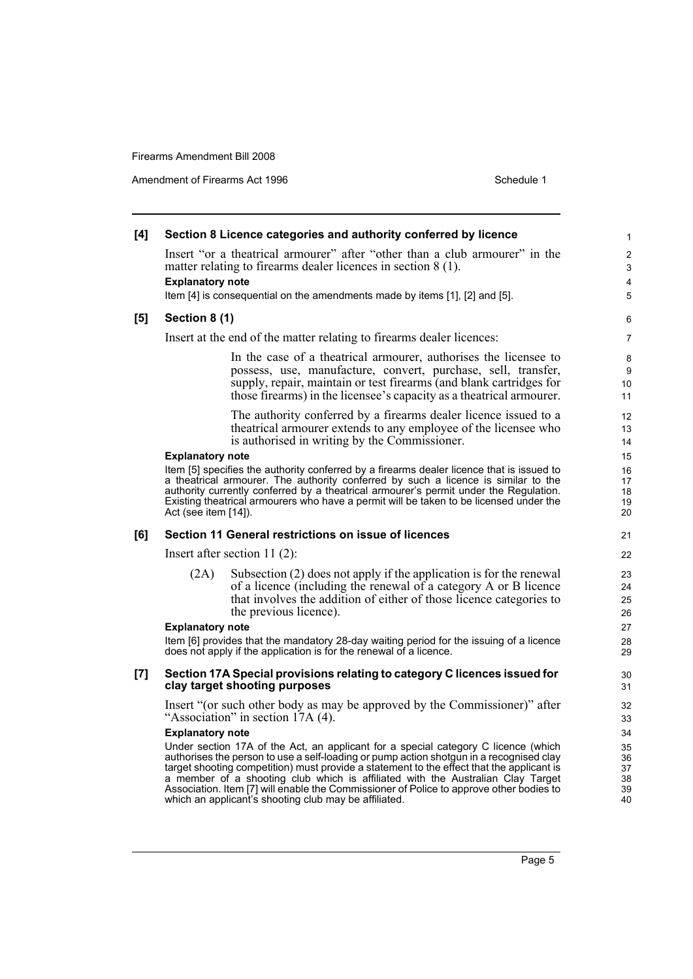Amendment of Firearms Act 1996 Schedule 1

| [4] |                                                 | Section 8 Licence categories and authority conferred by licence                                                                                                                                                                                                                                                                                                                                                                                                                                                   | 1                                      |
|-----|-------------------------------------------------|-------------------------------------------------------------------------------------------------------------------------------------------------------------------------------------------------------------------------------------------------------------------------------------------------------------------------------------------------------------------------------------------------------------------------------------------------------------------------------------------------------------------|----------------------------------------|
|     |                                                 | Insert "or a theatrical armourer" after "other than a club armourer" in the<br>matter relating to firearms dealer licences in section 8 (1).                                                                                                                                                                                                                                                                                                                                                                      | $\boldsymbol{2}$<br>3                  |
|     | <b>Explanatory note</b>                         | Item [4] is consequential on the amendments made by items [1], [2] and [5].                                                                                                                                                                                                                                                                                                                                                                                                                                       | 4<br>5                                 |
| [5] | Section 8 (1)                                   |                                                                                                                                                                                                                                                                                                                                                                                                                                                                                                                   | 6                                      |
|     |                                                 | Insert at the end of the matter relating to firearms dealer licences:                                                                                                                                                                                                                                                                                                                                                                                                                                             | 7                                      |
|     |                                                 | In the case of a theatrical armourer, authorises the licensee to<br>possess, use, manufacture, convert, purchase, sell, transfer,<br>supply, repair, maintain or test firearms (and blank cartridges for<br>those firearms) in the licensee's capacity as a theatrical armourer.                                                                                                                                                                                                                                  | 8<br>9<br>10<br>11                     |
|     |                                                 | The authority conferred by a firearms dealer licence issued to a<br>theatrical armourer extends to any employee of the licensee who<br>is authorised in writing by the Commissioner.                                                                                                                                                                                                                                                                                                                              | 12<br>13<br>14                         |
|     | <b>Explanatory note</b><br>Act (see item [14]). | Item [5] specifies the authority conferred by a firearms dealer licence that is issued to<br>a theatrical armourer. The authority conferred by such a licence is similar to the<br>authority currently conferred by a theatrical armourer's permit under the Regulation.<br>Existing theatrical armourers who have a permit will be taken to be licensed under the                                                                                                                                                | 15<br>16<br>17<br>18<br>19<br>20       |
| [6] |                                                 | Section 11 General restrictions on issue of licences                                                                                                                                                                                                                                                                                                                                                                                                                                                              | 21                                     |
|     |                                                 | Insert after section 11 $(2)$ :                                                                                                                                                                                                                                                                                                                                                                                                                                                                                   | 22                                     |
|     | (2A)                                            | Subsection $(2)$ does not apply if the application is for the renewal<br>of a licence (including the renewal of a category A or B licence<br>that involves the addition of either of those licence categories to<br>the previous licence).                                                                                                                                                                                                                                                                        | 23<br>24<br>25<br>26                   |
|     | <b>Explanatory note</b>                         |                                                                                                                                                                                                                                                                                                                                                                                                                                                                                                                   | 27                                     |
|     |                                                 | Item [6] provides that the mandatory 28-day waiting period for the issuing of a licence<br>does not apply if the application is for the renewal of a licence.                                                                                                                                                                                                                                                                                                                                                     | 28<br>29                               |
| [7] |                                                 | Section 17A Special provisions relating to category C licences issued for<br>clay target shooting purposes                                                                                                                                                                                                                                                                                                                                                                                                        | 30<br>31                               |
|     |                                                 | Insert "(or such other body as may be approved by the Commissioner)" after<br>"Association" in section 17A (4).                                                                                                                                                                                                                                                                                                                                                                                                   | 32<br>33                               |
|     | <b>Explanatory note</b>                         | Under section 17A of the Act, an applicant for a special category C licence (which<br>authorises the person to use a self-loading or pump action shotgun in a recognised clay<br>target shooting competition) must provide a statement to the effect that the applicant is<br>a member of a shooting club which is affiliated with the Australian Clay Target<br>Association. Item [7] will enable the Commissioner of Police to approve other bodies to<br>which an applicant's shooting club may be affiliated. | 34<br>35<br>36<br>37<br>38<br>39<br>40 |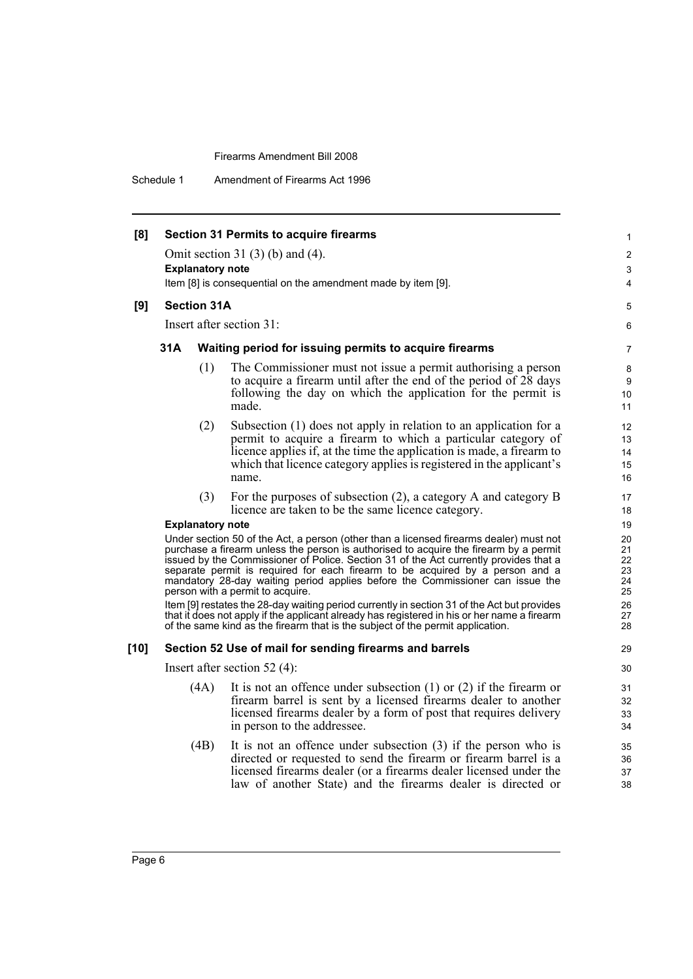Schedule 1 Amendment of Firearms Act 1996

| [8]    |     |                         | <b>Section 31 Permits to acquire firearms</b>                                                                                                                                                                                                                                                                                                                                                                                                                                  |                                  |
|--------|-----|-------------------------|--------------------------------------------------------------------------------------------------------------------------------------------------------------------------------------------------------------------------------------------------------------------------------------------------------------------------------------------------------------------------------------------------------------------------------------------------------------------------------|----------------------------------|
|        |     |                         |                                                                                                                                                                                                                                                                                                                                                                                                                                                                                | 1                                |
|        |     | <b>Explanatory note</b> | Omit section 31 $(3)$ $(b)$ and $(4)$ .                                                                                                                                                                                                                                                                                                                                                                                                                                        | 2<br>3                           |
|        |     |                         | Item [8] is consequential on the amendment made by item [9].                                                                                                                                                                                                                                                                                                                                                                                                                   | 4                                |
| [9]    |     | <b>Section 31A</b>      |                                                                                                                                                                                                                                                                                                                                                                                                                                                                                | 5                                |
|        |     |                         | Insert after section 31:                                                                                                                                                                                                                                                                                                                                                                                                                                                       |                                  |
|        |     |                         |                                                                                                                                                                                                                                                                                                                                                                                                                                                                                | 6                                |
|        | 31A |                         | Waiting period for issuing permits to acquire firearms                                                                                                                                                                                                                                                                                                                                                                                                                         | 7                                |
|        |     | (1)                     | The Commissioner must not issue a permit authorising a person<br>to acquire a firearm until after the end of the period of 28 days<br>following the day on which the application for the permit is<br>made.                                                                                                                                                                                                                                                                    | 8<br>9<br>10<br>11               |
|        |     | (2)                     | Subsection (1) does not apply in relation to an application for a<br>permit to acquire a firearm to which a particular category of<br>licence applies if, at the time the application is made, a firearm to<br>which that licence category applies is registered in the applicant's<br>name.                                                                                                                                                                                   | 12<br>13<br>14<br>15<br>16       |
|        |     | (3)                     | For the purposes of subsection $(2)$ , a category A and category B<br>licence are taken to be the same licence category.                                                                                                                                                                                                                                                                                                                                                       | 17<br>18                         |
|        |     | <b>Explanatory note</b> |                                                                                                                                                                                                                                                                                                                                                                                                                                                                                | 19                               |
|        |     |                         | Under section 50 of the Act, a person (other than a licensed firearms dealer) must not<br>purchase a firearm unless the person is authorised to acquire the firearm by a permit<br>issued by the Commissioner of Police. Section 31 of the Act currently provides that a<br>separate permit is required for each firearm to be acquired by a person and a<br>mandatory 28-day waiting period applies before the Commissioner can issue the<br>person with a permit to acquire. | 20<br>21<br>22<br>23<br>24<br>25 |
|        |     |                         | Item [9] restates the 28-day waiting period currently in section 31 of the Act but provides<br>that it does not apply if the applicant already has registered in his or her name a firearm<br>of the same kind as the firearm that is the subject of the permit application.                                                                                                                                                                                                   | 26<br>27<br>28                   |
| $[10]$ |     |                         | Section 52 Use of mail for sending firearms and barrels                                                                                                                                                                                                                                                                                                                                                                                                                        | 29                               |
|        |     |                         | Insert after section $52(4)$ :                                                                                                                                                                                                                                                                                                                                                                                                                                                 | 30                               |
|        |     | (4A)                    | It is not an offence under subsection $(1)$ or $(2)$ if the firearm or<br>firearm barrel is sent by a licensed firearms dealer to another<br>licensed firearms dealer by a form of post that requires delivery<br>in person to the addressee.                                                                                                                                                                                                                                  | 31<br>32<br>33<br>34             |
|        |     | (4B)                    | It is not an offence under subsection $(3)$ if the person who is<br>directed or requested to send the firearm or firearm barrel is a<br>licensed firearms dealer (or a firearms dealer licensed under the<br>law of another State) and the firearms dealer is directed or                                                                                                                                                                                                      | 35<br>36<br>37<br>38             |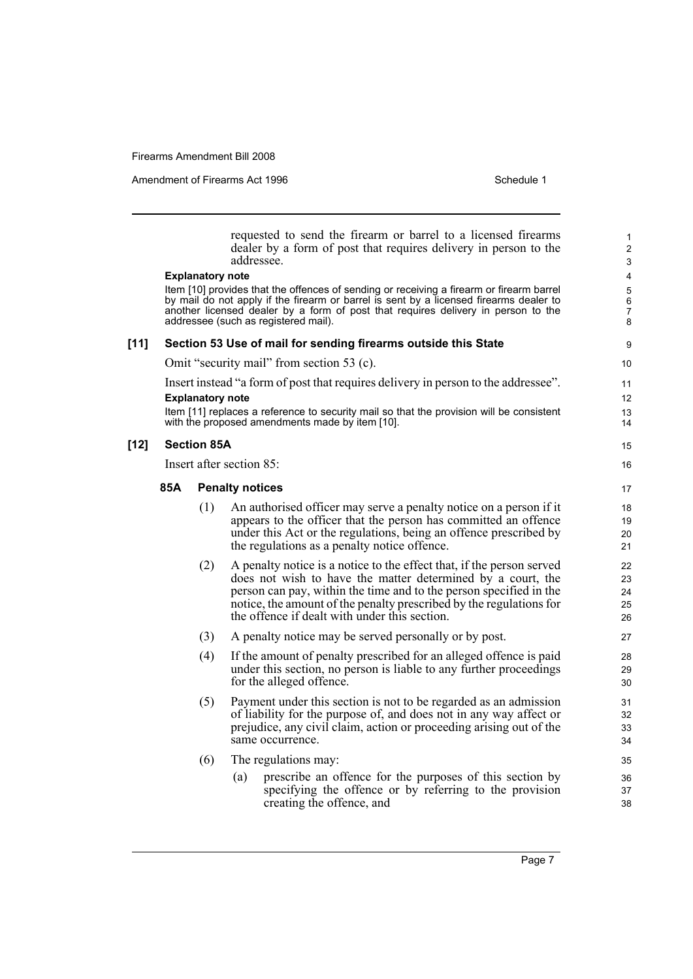Amendment of Firearms Act 1996 Schedule 1

|        |     | <b>Explanatory note</b> | requested to send the firearm or barrel to a licensed firearms<br>dealer by a form of post that requires delivery in person to the<br>addressee.                                                                                                                                                                | 1<br>$\overline{2}$<br>3<br>4                |
|--------|-----|-------------------------|-----------------------------------------------------------------------------------------------------------------------------------------------------------------------------------------------------------------------------------------------------------------------------------------------------------------|----------------------------------------------|
|        |     |                         | Item [10] provides that the offences of sending or receiving a firearm or firearm barrel<br>by mail do not apply if the firearm or barrel is sent by a licensed firearms dealer to<br>another licensed dealer by a form of post that requires delivery in person to the<br>addressee (such as registered mail). | 5<br>$\boldsymbol{6}$<br>$\overline{7}$<br>8 |
| $[11]$ |     |                         | Section 53 Use of mail for sending firearms outside this State                                                                                                                                                                                                                                                  | 9                                            |
|        |     |                         | Omit "security mail" from section 53 (c).                                                                                                                                                                                                                                                                       | 10                                           |
|        |     |                         | Insert instead "a form of post that requires delivery in person to the addressee".                                                                                                                                                                                                                              | 11                                           |
|        |     | <b>Explanatory note</b> |                                                                                                                                                                                                                                                                                                                 | 12                                           |
|        |     |                         | Item [11] replaces a reference to security mail so that the provision will be consistent<br>with the proposed amendments made by item [10].                                                                                                                                                                     | 13<br>14                                     |
| $[12]$ |     | <b>Section 85A</b>      |                                                                                                                                                                                                                                                                                                                 | 15                                           |
|        |     |                         | Insert after section 85:                                                                                                                                                                                                                                                                                        | 16                                           |
|        | 85A |                         | <b>Penalty notices</b>                                                                                                                                                                                                                                                                                          | 17                                           |
|        |     | (1)                     | An authorised officer may serve a penalty notice on a person if it                                                                                                                                                                                                                                              | 18                                           |
|        |     |                         | appears to the officer that the person has committed an offence<br>under this Act or the regulations, being an offence prescribed by                                                                                                                                                                            | 19<br>20                                     |
|        |     |                         | the regulations as a penalty notice offence.                                                                                                                                                                                                                                                                    | 21                                           |
|        |     | (2)                     | A penalty notice is a notice to the effect that, if the person served                                                                                                                                                                                                                                           | 22                                           |
|        |     |                         | does not wish to have the matter determined by a court, the<br>person can pay, within the time and to the person specified in the                                                                                                                                                                               | 23                                           |
|        |     |                         | notice, the amount of the penalty prescribed by the regulations for                                                                                                                                                                                                                                             | 24<br>25                                     |
|        |     |                         | the offence if dealt with under this section.                                                                                                                                                                                                                                                                   | 26                                           |
|        |     | (3)                     | A penalty notice may be served personally or by post.                                                                                                                                                                                                                                                           | 27                                           |
|        |     | (4)                     | If the amount of penalty prescribed for an alleged offence is paid                                                                                                                                                                                                                                              | 28                                           |
|        |     |                         | under this section, no person is liable to any further proceedings                                                                                                                                                                                                                                              | 29                                           |
|        |     |                         | for the alleged offence.                                                                                                                                                                                                                                                                                        | 30                                           |
|        |     | (5)                     | Payment under this section is not to be regarded as an admission<br>of liability for the purpose of, and does not in any way affect or                                                                                                                                                                          | 31<br>32                                     |
|        |     |                         | prejudice, any civil claim, action or proceeding arising out of the                                                                                                                                                                                                                                             | 33                                           |
|        |     |                         | same occurrence.                                                                                                                                                                                                                                                                                                | 34                                           |
|        |     | (6)                     | The regulations may:                                                                                                                                                                                                                                                                                            | 35                                           |
|        |     |                         | prescribe an offence for the purposes of this section by<br>(a)                                                                                                                                                                                                                                                 | 36                                           |
|        |     |                         | specifying the offence or by referring to the provision<br>creating the offence, and                                                                                                                                                                                                                            | 37<br>38                                     |
|        |     |                         |                                                                                                                                                                                                                                                                                                                 |                                              |

Page 7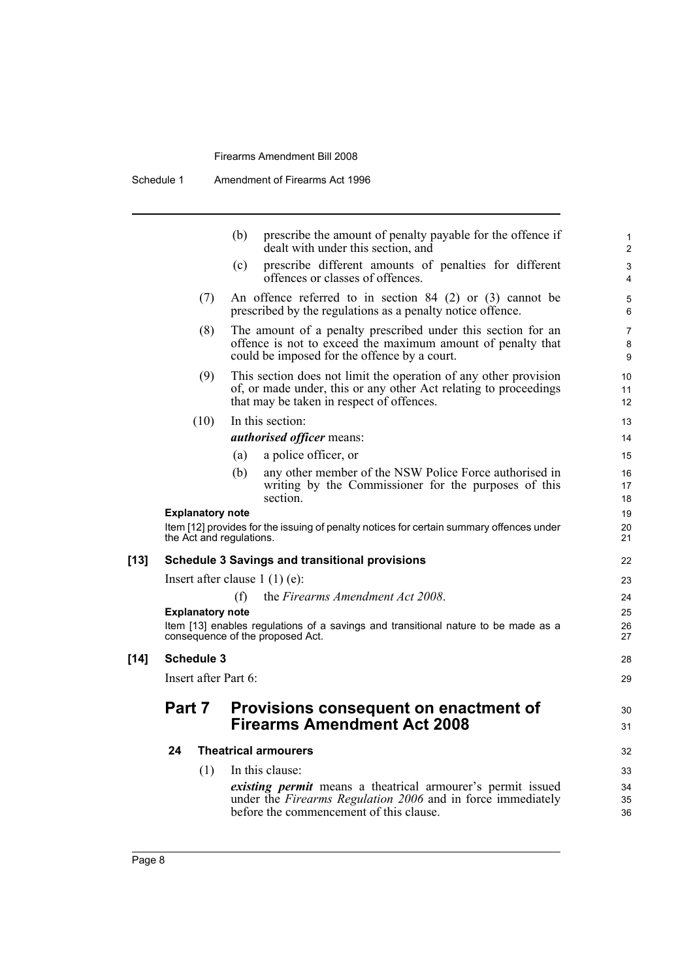|        |        |                          | (b) | prescribe the amount of penalty payable for the offence if<br>dealt with under this section, and                                                                                  | 1<br>2                   |
|--------|--------|--------------------------|-----|-----------------------------------------------------------------------------------------------------------------------------------------------------------------------------------|--------------------------|
|        |        |                          | (c) | prescribe different amounts of penalties for different<br>offences or classes of offences.                                                                                        | 3<br>$\overline{4}$      |
|        |        | (7)                      |     | An offence referred to in section $84$ (2) or (3) cannot be<br>prescribed by the regulations as a penalty notice offence.                                                         | 5<br>6                   |
|        |        | (8)                      |     | The amount of a penalty prescribed under this section for an<br>offence is not to exceed the maximum amount of penalty that<br>could be imposed for the offence by a court.       | $\overline{7}$<br>8<br>9 |
|        |        | (9)                      |     | This section does not limit the operation of any other provision<br>of, or made under, this or any other Act relating to proceedings<br>that may be taken in respect of offences. | 10<br>11<br>12           |
|        |        | (10)                     |     | In this section:                                                                                                                                                                  | 13                       |
|        |        |                          |     | <i>authorised officer means:</i>                                                                                                                                                  | 14                       |
|        |        |                          | (a) | a police officer, or                                                                                                                                                              | 15                       |
|        |        |                          | (b) | any other member of the NSW Police Force authorised in                                                                                                                            | 16                       |
|        |        |                          |     | writing by the Commissioner for the purposes of this<br>section.                                                                                                                  | 17<br>18                 |
|        |        | <b>Explanatory note</b>  |     |                                                                                                                                                                                   | 19                       |
|        |        | the Act and regulations. |     | Item [12] provides for the issuing of penalty notices for certain summary offences under                                                                                          | 20<br>21                 |
| $[13]$ |        |                          |     | <b>Schedule 3 Savings and transitional provisions</b>                                                                                                                             | 22                       |
|        |        |                          |     | Insert after clause $1(1)(e)$ :                                                                                                                                                   | 23                       |
|        |        |                          | (f) | the Firearms Amendment Act 2008.                                                                                                                                                  | 24                       |
|        |        | <b>Explanatory note</b>  |     |                                                                                                                                                                                   | 25                       |
|        |        |                          |     | Item [13] enables regulations of a savings and transitional nature to be made as a<br>consequence of the proposed Act.                                                            | 26<br>27                 |
| [14]   |        | Schedule 3               |     |                                                                                                                                                                                   | 28                       |
|        |        | Insert after Part 6:     |     |                                                                                                                                                                                   | 29                       |
|        | Part 7 |                          |     | Provisions consequent on enactment of<br><b>Firearms Amendment Act 2008</b>                                                                                                       | 30<br>31                 |
|        | 24     |                          |     | <b>Theatrical armourers</b>                                                                                                                                                       | 32                       |
|        |        | (1)                      |     | In this clause:                                                                                                                                                                   | 33                       |
|        |        |                          |     | <i>existing permit</i> means a theatrical armourer's permit issued<br>under the Firearms Regulation 2006 and in force immediately<br>before the commencement of this clause.      | 34<br>35<br>36           |
|        |        |                          |     |                                                                                                                                                                                   |                          |

 $[14]$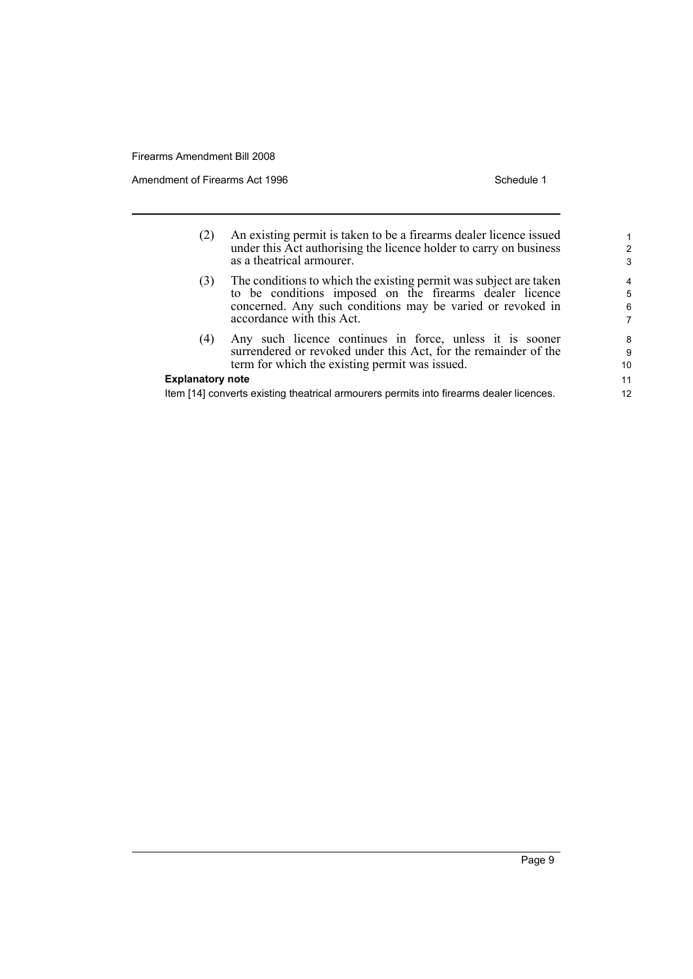Amendment of Firearms Act 1996 Schedule 1

| (2)                                                                                                                | An existing permit is taken to be a firearms dealer licence issued<br>under this Act authorising the licence holder to carry on business<br>as a theatrical armourer.                                                   | 2<br>3           |
|--------------------------------------------------------------------------------------------------------------------|-------------------------------------------------------------------------------------------------------------------------------------------------------------------------------------------------------------------------|------------------|
| (3)                                                                                                                | The conditions to which the existing permit was subject are taken<br>to be conditions imposed on the firearms dealer licence<br>concerned. Any such conditions may be varied or revoked in<br>accordance with this Act. | 4<br>5<br>6<br>7 |
| (4)                                                                                                                | Any such licence continues in force, unless it is sooner<br>surrendered or revoked under this Act, for the remainder of the<br>term for which the existing permit was issued.                                           | 8<br>9<br>10     |
| <b>Explanatory note</b><br>Item [14] converts existing theatrical armourers permits into firearms dealer licences. |                                                                                                                                                                                                                         |                  |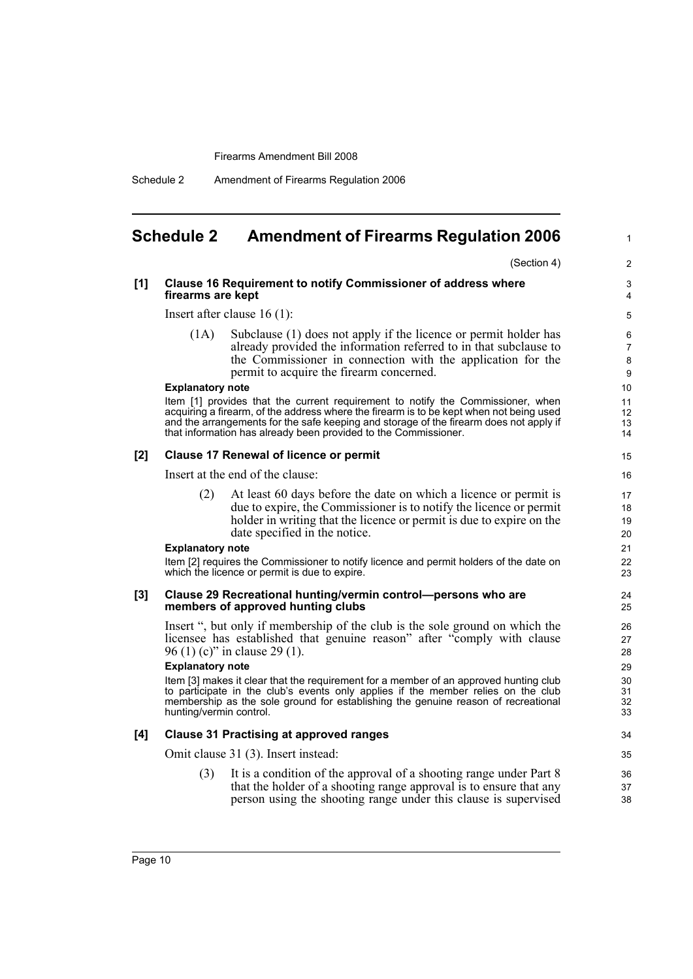Schedule 2 Amendment of Firearms Regulation 2006

### <span id="page-15-0"></span>**Schedule 2 Amendment of Firearms Regulation 2006**

(Section 4)

1

#### **[1] Clause 16 Requirement to notify Commissioner of address where firearms are kept**

Insert after clause 16 (1):

(1A) Subclause (1) does not apply if the licence or permit holder has already provided the information referred to in that subclause to the Commissioner in connection with the application for the permit to acquire the firearm concerned.

#### **Explanatory note**

Item [1] provides that the current requirement to notify the Commissioner, when acquiring a firearm, of the address where the firearm is to be kept when not being used and the arrangements for the safe keeping and storage of the firearm does not apply if that information has already been provided to the Commissioner.

#### **[2] Clause 17 Renewal of licence or permit**

Insert at the end of the clause:

(2) At least 60 days before the date on which a licence or permit is due to expire, the Commissioner is to notify the licence or permit holder in writing that the licence or permit is due to expire on the date specified in the notice.

#### **Explanatory note**

Item [2] requires the Commissioner to notify licence and permit holders of the date on which the licence or permit is due to expire.

#### **[3] Clause 29 Recreational hunting/vermin control—persons who are members of approved hunting clubs**

Insert ", but only if membership of the club is the sole ground on which the licensee has established that genuine reason" after "comply with clause 96 (1) (c)" in clause 29 (1).

#### **Explanatory note**

Item [3] makes it clear that the requirement for a member of an approved hunting club to participate in the club's events only applies if the member relies on the club membership as the sole ground for establishing the genuine reason of recreational hunting/vermin control.

#### **[4] Clause 31 Practising at approved ranges**

Omit clause 31 (3). Insert instead:

(3) It is a condition of the approval of a shooting range under Part 8 that the holder of a shooting range approval is to ensure that any person using the shooting range under this clause is supervised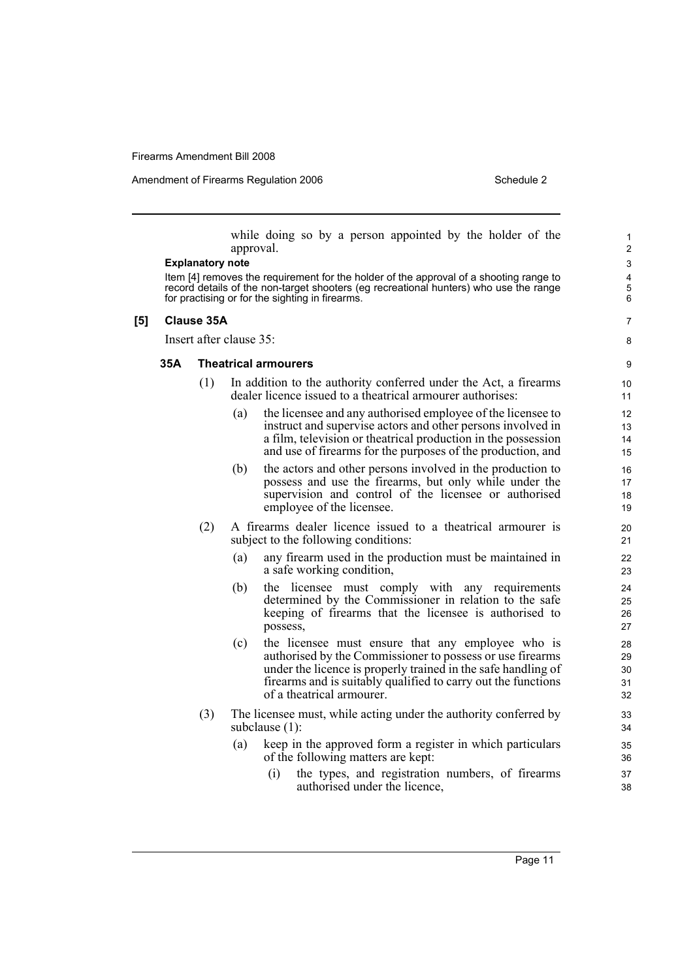Amendment of Firearms Regulation 2006 Schedule 2

7 8

while doing so by a person appointed by the holder of the approval.

#### **Explanatory note**

Item [4] removes the requirement for the holder of the approval of a shooting range to record details of the non-target shooters (eg recreational hunters) who use the range for practising or for the sighting in firearms.

#### **[5] Clause 35A**

Insert after clause 35:

#### **35A Theatrical armourers**

- (1) In addition to the authority conferred under the Act, a firearms dealer licence issued to a theatrical armourer authorises:
	- (a) the licensee and any authorised employee of the licensee to instruct and supervise actors and other persons involved in a film, television or theatrical production in the possession and use of firearms for the purposes of the production, and
	- (b) the actors and other persons involved in the production to possess and use the firearms, but only while under the supervision and control of the licensee or authorised employee of the licensee.
- (2) A firearms dealer licence issued to a theatrical armourer is subject to the following conditions:
	- (a) any firearm used in the production must be maintained in a safe working condition,
	- (b) the licensee must comply with any requirements determined by the Commissioner in relation to the safe keeping of firearms that the licensee is authorised to possess,
	- (c) the licensee must ensure that any employee who is authorised by the Commissioner to possess or use firearms under the licence is properly trained in the safe handling of firearms and is suitably qualified to carry out the functions of a theatrical armourer.
- (3) The licensee must, while acting under the authority conferred by subclause (1):
	- (a) keep in the approved form a register in which particulars of the following matters are kept:
		- (i) the types, and registration numbers, of firearms authorised under the licence,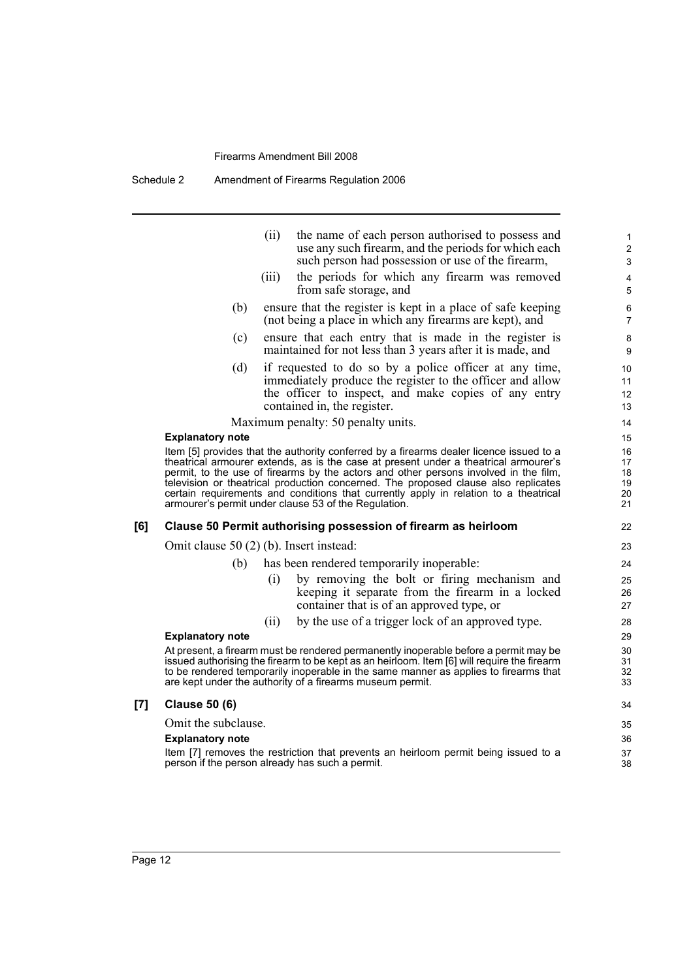Schedule 2 Amendment of Firearms Regulation 2006

|     |                                          | (ii)<br>the name of each person authorised to possess and<br>use any such firearm, and the periods for which each<br>such person had possession or use of the firearm,                                                                                                                                                                                                                                                                                                                                        | 1<br>$\overline{c}$<br>$\mathsf 3$ |
|-----|------------------------------------------|---------------------------------------------------------------------------------------------------------------------------------------------------------------------------------------------------------------------------------------------------------------------------------------------------------------------------------------------------------------------------------------------------------------------------------------------------------------------------------------------------------------|------------------------------------|
|     |                                          | the periods for which any firearm was removed<br>(iii)<br>from safe storage, and                                                                                                                                                                                                                                                                                                                                                                                                                              | 4<br>5                             |
|     | (b)                                      | ensure that the register is kept in a place of safe keeping<br>(not being a place in which any firearms are kept), and                                                                                                                                                                                                                                                                                                                                                                                        | 6<br>$\overline{7}$                |
|     | (c)                                      | ensure that each entry that is made in the register is<br>maintained for not less than 3 years after it is made, and                                                                                                                                                                                                                                                                                                                                                                                          | 8<br>9                             |
|     | (d)                                      | if requested to do so by a police officer at any time,<br>immediately produce the register to the officer and allow<br>the officer to inspect, and make copies of any entry<br>contained in, the register.                                                                                                                                                                                                                                                                                                    | 10<br>11<br>12<br>13               |
|     |                                          | Maximum penalty: 50 penalty units.                                                                                                                                                                                                                                                                                                                                                                                                                                                                            | 14                                 |
|     | <b>Explanatory note</b>                  |                                                                                                                                                                                                                                                                                                                                                                                                                                                                                                               | 15                                 |
|     |                                          | Item [5] provides that the authority conferred by a firearms dealer licence issued to a<br>theatrical armourer extends, as is the case at present under a theatrical armourer's<br>permit, to the use of firearms by the actors and other persons involved in the film,<br>television or theatrical production concerned. The proposed clause also replicates<br>certain requirements and conditions that currently apply in relation to a theatrical<br>armourer's permit under clause 53 of the Regulation. | 16<br>17<br>18<br>19<br>20<br>21   |
| [6] |                                          | Clause 50 Permit authorising possession of firearm as heirloom                                                                                                                                                                                                                                                                                                                                                                                                                                                | 22                                 |
|     | Omit clause $50(2)$ (b). Insert instead: |                                                                                                                                                                                                                                                                                                                                                                                                                                                                                                               | 23                                 |
|     | (b)                                      | has been rendered temporarily inoperable:                                                                                                                                                                                                                                                                                                                                                                                                                                                                     | 24                                 |
|     |                                          | by removing the bolt or firing mechanism and<br>(i)<br>keeping it separate from the firearm in a locked<br>container that is of an approved type, or                                                                                                                                                                                                                                                                                                                                                          | 25<br>26<br>27                     |
|     |                                          | by the use of a trigger lock of an approved type.<br>(ii)                                                                                                                                                                                                                                                                                                                                                                                                                                                     | 28                                 |
|     | <b>Explanatory note</b>                  |                                                                                                                                                                                                                                                                                                                                                                                                                                                                                                               | 29                                 |
|     |                                          | At present, a firearm must be rendered permanently inoperable before a permit may be<br>issued authorising the firearm to be kept as an heirloom. Item [6] will require the firearm<br>to be rendered temporarily inoperable in the same manner as applies to firearms that<br>are kept under the authority of a firearms museum permit.                                                                                                                                                                      | 30<br>31<br>32<br>33               |
| [7] | <b>Clause 50 (6)</b>                     |                                                                                                                                                                                                                                                                                                                                                                                                                                                                                                               | 34                                 |
|     | Omit the subclause.                      |                                                                                                                                                                                                                                                                                                                                                                                                                                                                                                               | 35                                 |
|     | <b>Explanatory note</b>                  |                                                                                                                                                                                                                                                                                                                                                                                                                                                                                                               | 36                                 |
|     |                                          | Item [7] removes the restriction that prevents an heirloom permit being issued to a<br>person if the person already has such a permit.                                                                                                                                                                                                                                                                                                                                                                        | 37<br>38                           |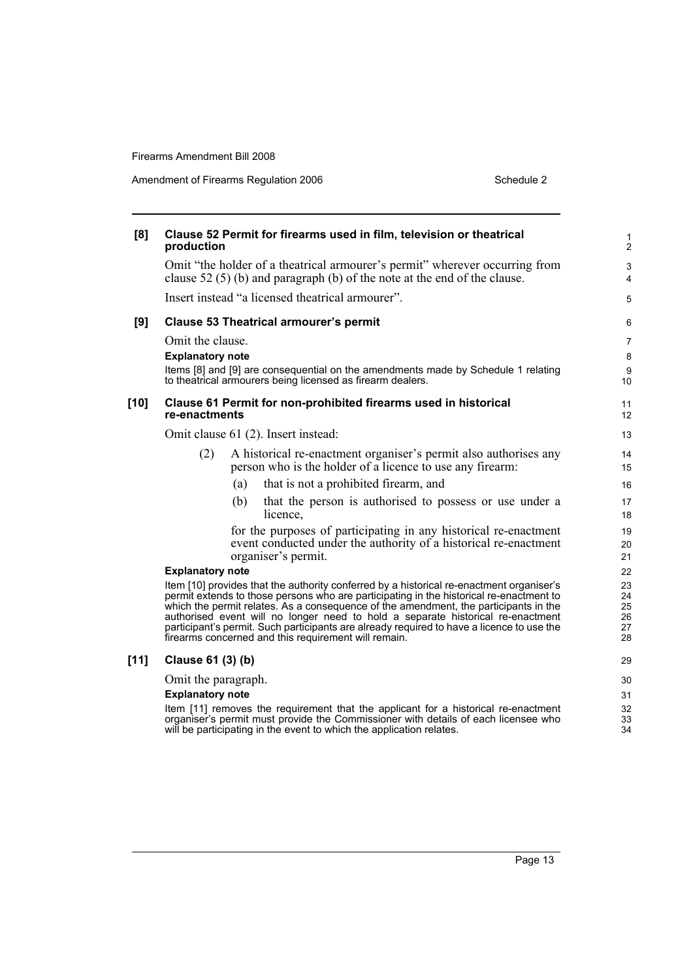Amendment of Firearms Regulation 2006 Schedule 2

| [8]    | production                                  | Clause 52 Permit for firearms used in film, television or theatrical                                                                                                                                                                                                                                                                                                                                                                                                                                                | $\mathbf{1}$<br>$\overline{c}$   |
|--------|---------------------------------------------|---------------------------------------------------------------------------------------------------------------------------------------------------------------------------------------------------------------------------------------------------------------------------------------------------------------------------------------------------------------------------------------------------------------------------------------------------------------------------------------------------------------------|----------------------------------|
|        |                                             | Omit "the holder of a theatrical armourer's permit" wherever occurring from<br>clause 52 $(5)$ (b) and paragraph (b) of the note at the end of the clause.                                                                                                                                                                                                                                                                                                                                                          | 3<br>4                           |
|        |                                             | Insert instead "a licensed theatrical armourer".                                                                                                                                                                                                                                                                                                                                                                                                                                                                    | 5                                |
| [9]    |                                             | <b>Clause 53 Theatrical armourer's permit</b>                                                                                                                                                                                                                                                                                                                                                                                                                                                                       | 6                                |
|        | Omit the clause.<br><b>Explanatory note</b> | Items [8] and [9] are consequential on the amendments made by Schedule 1 relating<br>to theatrical armourers being licensed as firearm dealers.                                                                                                                                                                                                                                                                                                                                                                     | $\overline{7}$<br>8<br>9<br>10   |
| $[10]$ | re-enactments                               | Clause 61 Permit for non-prohibited firearms used in historical                                                                                                                                                                                                                                                                                                                                                                                                                                                     | 11<br>12                         |
|        |                                             | Omit clause 61 (2). Insert instead:                                                                                                                                                                                                                                                                                                                                                                                                                                                                                 | 13                               |
|        | (2)                                         | A historical re-enactment organiser's permit also authorises any<br>person who is the holder of a licence to use any firearm:                                                                                                                                                                                                                                                                                                                                                                                       | 14<br>15                         |
|        |                                             | that is not a prohibited firearm, and<br>(a)                                                                                                                                                                                                                                                                                                                                                                                                                                                                        | 16                               |
|        |                                             | (b)<br>that the person is authorised to possess or use under a<br>licence,                                                                                                                                                                                                                                                                                                                                                                                                                                          | 17<br>18                         |
|        |                                             | for the purposes of participating in any historical re-enactment<br>event conducted under the authority of a historical re-enactment<br>organiser's permit.                                                                                                                                                                                                                                                                                                                                                         | 19<br>20<br>21                   |
|        | <b>Explanatory note</b>                     |                                                                                                                                                                                                                                                                                                                                                                                                                                                                                                                     | 22                               |
|        |                                             | Item [10] provides that the authority conferred by a historical re-enactment organiser's<br>permit extends to those persons who are participating in the historical re-enactment to<br>which the permit relates. As a consequence of the amendment, the participants in the<br>authorised event will no longer need to hold a separate historical re-enactment<br>participant's permit. Such participants are already required to have a licence to use the<br>firearms concerned and this requirement will remain. | 23<br>24<br>25<br>26<br>27<br>28 |
| $[11]$ | Clause 61 (3) (b)                           |                                                                                                                                                                                                                                                                                                                                                                                                                                                                                                                     | 29                               |
|        | Omit the paragraph.                         |                                                                                                                                                                                                                                                                                                                                                                                                                                                                                                                     | 30                               |
|        | <b>Explanatory note</b>                     |                                                                                                                                                                                                                                                                                                                                                                                                                                                                                                                     | 31                               |
|        |                                             | Item [11] removes the requirement that the applicant for a historical re-enactment<br>organiser's permit must provide the Commissioner with details of each licensee who<br>will be participating in the event to which the application relates.                                                                                                                                                                                                                                                                    | 32<br>33<br>34                   |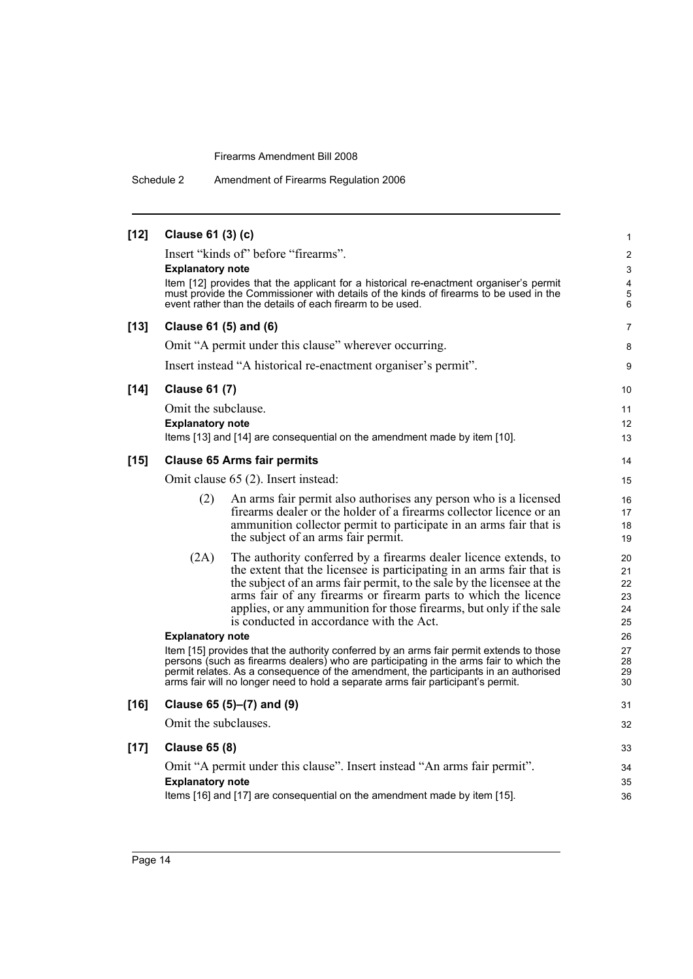Schedule 2 Amendment of Firearms Regulation 2006

| $[12]$ | Clause 61 (3) (c)       |                                                                                                                                                                                 | $\mathbf{1}$                 |
|--------|-------------------------|---------------------------------------------------------------------------------------------------------------------------------------------------------------------------------|------------------------------|
|        |                         | Insert "kinds of" before "firearms".                                                                                                                                            | $\overline{2}$               |
|        | <b>Explanatory note</b> |                                                                                                                                                                                 | 3                            |
|        |                         | Item [12] provides that the applicant for a historical re-enactment organiser's permit<br>must provide the Commissioner with details of the kinds of firearms to be used in the | $\overline{\mathbf{4}}$<br>5 |
|        |                         | event rather than the details of each firearm to be used.                                                                                                                       | 6                            |
| $[13]$ | Clause 61 (5) and (6)   |                                                                                                                                                                                 | $\overline{7}$               |
|        |                         | Omit "A permit under this clause" wherever occurring.                                                                                                                           | 8                            |
|        |                         | Insert instead "A historical re-enactment organiser's permit".                                                                                                                  | 9                            |
| $[14]$ | <b>Clause 61 (7)</b>    |                                                                                                                                                                                 | 10                           |
|        | Omit the subclause.     |                                                                                                                                                                                 | 11                           |
|        | <b>Explanatory note</b> |                                                                                                                                                                                 | 12                           |
|        |                         | Items [13] and [14] are consequential on the amendment made by item [10].                                                                                                       | 13                           |
| $[15]$ |                         | <b>Clause 65 Arms fair permits</b>                                                                                                                                              | 14                           |
|        |                         | Omit clause 65 (2). Insert instead:                                                                                                                                             | 15                           |
|        | (2)                     | An arms fair permit also authorises any person who is a licensed                                                                                                                | 16                           |
|        |                         | firearms dealer or the holder of a firearms collector licence or an                                                                                                             | 17                           |
|        |                         | ammunition collector permit to participate in an arms fair that is<br>the subject of an arms fair permit.                                                                       | 18<br>19                     |
|        | (2A)                    | The authority conferred by a firearms dealer licence extends, to                                                                                                                | 20                           |
|        |                         | the extent that the licensee is participating in an arms fair that is                                                                                                           | 21                           |
|        |                         | the subject of an arms fair permit, to the sale by the licensee at the<br>arms fair of any firearms or firearm parts to which the licence                                       | 22<br>23                     |
|        |                         | applies, or any ammunition for those firearms, but only if the sale                                                                                                             | 24                           |
|        |                         | is conducted in accordance with the Act.                                                                                                                                        | 25                           |
|        | <b>Explanatory note</b> |                                                                                                                                                                                 | 26                           |
|        |                         | Item [15] provides that the authority conferred by an arms fair permit extends to those                                                                                         | 27                           |
|        |                         | persons (such as firearms dealers) who are participating in the arms fair to which the<br>permit relates. As a consequence of the amendment, the participants in an authorised  | 28<br>29                     |
|        |                         | arms fair will no longer need to hold a separate arms fair participant's permit.                                                                                                | 30                           |
| $[16]$ |                         | Clause 65 (5)–(7) and (9)                                                                                                                                                       | 31                           |
|        | Omit the subclauses.    |                                                                                                                                                                                 | 32                           |
| $[17]$ | <b>Clause 65 (8)</b>    |                                                                                                                                                                                 | 33                           |
|        |                         | Omit "A permit under this clause". Insert instead "An arms fair permit".                                                                                                        | 34                           |
|        | <b>Explanatory note</b> |                                                                                                                                                                                 | 35                           |
|        |                         | Items [16] and [17] are consequential on the amendment made by item [15].                                                                                                       | 36                           |
|        |                         |                                                                                                                                                                                 |                              |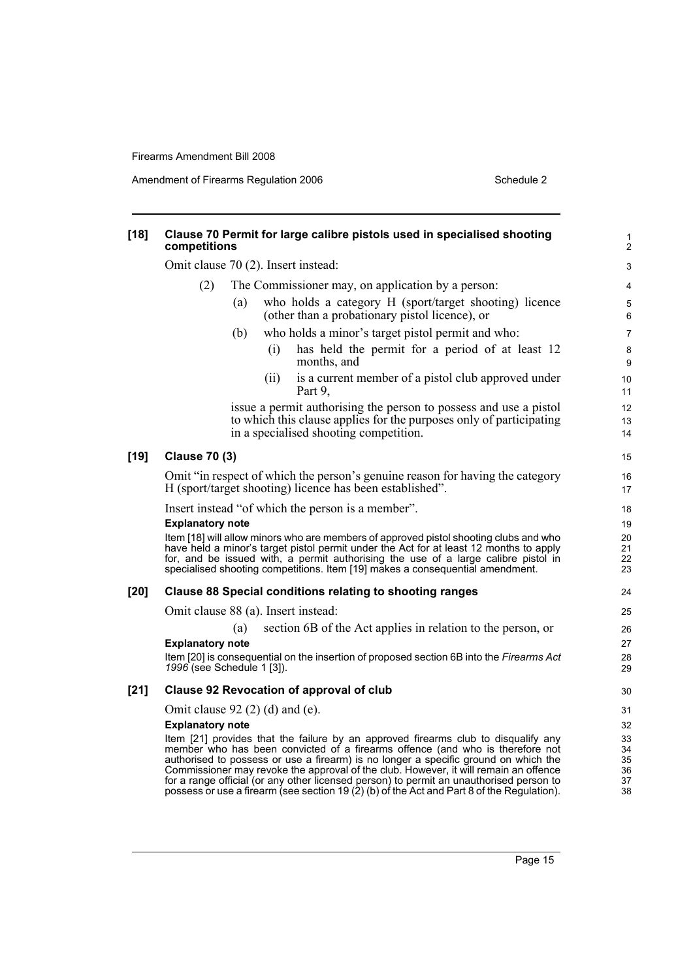Amendment of Firearms Regulation 2006 Schedule 2

| $[18]$ | Clause 70 Permit for large calibre pistols used in specialised shooting<br>competitions                                                                                                                                                                                                                                                                                                                                                                                                                                                       | $\mathbf{1}$<br>$\overline{c}$   |
|--------|-----------------------------------------------------------------------------------------------------------------------------------------------------------------------------------------------------------------------------------------------------------------------------------------------------------------------------------------------------------------------------------------------------------------------------------------------------------------------------------------------------------------------------------------------|----------------------------------|
|        | Omit clause 70 (2). Insert instead:                                                                                                                                                                                                                                                                                                                                                                                                                                                                                                           | 3                                |
|        | The Commissioner may, on application by a person:<br>(2)                                                                                                                                                                                                                                                                                                                                                                                                                                                                                      | 4                                |
|        | who holds a category H (sport/target shooting) licence<br>(a)<br>(other than a probationary pistol licence), or                                                                                                                                                                                                                                                                                                                                                                                                                               | 5<br>$\,6\,$                     |
|        | who holds a minor's target pistol permit and who:<br>(b)                                                                                                                                                                                                                                                                                                                                                                                                                                                                                      | 7                                |
|        | has held the permit for a period of at least 12<br>(i)<br>months, and                                                                                                                                                                                                                                                                                                                                                                                                                                                                         | 8<br>$\boldsymbol{9}$            |
|        | is a current member of a pistol club approved under<br>(ii)<br>Part 9,                                                                                                                                                                                                                                                                                                                                                                                                                                                                        | 10<br>11                         |
|        | issue a permit authorising the person to possess and use a pistol                                                                                                                                                                                                                                                                                                                                                                                                                                                                             | 12                               |
|        | to which this clause applies for the purposes only of participating<br>in a specialised shooting competition.                                                                                                                                                                                                                                                                                                                                                                                                                                 | 13<br>14                         |
| $[19]$ | <b>Clause 70 (3)</b>                                                                                                                                                                                                                                                                                                                                                                                                                                                                                                                          | 15                               |
|        | Omit "in respect of which the person's genuine reason for having the category<br>H (sport/target shooting) licence has been established".                                                                                                                                                                                                                                                                                                                                                                                                     | 16<br>17                         |
|        | Insert instead "of which the person is a member".                                                                                                                                                                                                                                                                                                                                                                                                                                                                                             | 18                               |
|        | <b>Explanatory note</b>                                                                                                                                                                                                                                                                                                                                                                                                                                                                                                                       | 19                               |
|        | Item [18] will allow minors who are members of approved pistol shooting clubs and who<br>have held a minor's target pistol permit under the Act for at least 12 months to apply<br>for, and be issued with, a permit authorising the use of a large calibre pistol in<br>specialised shooting competitions. Item [19] makes a consequential amendment.                                                                                                                                                                                        | 20<br>21<br>22<br>23             |
| $[20]$ | <b>Clause 88 Special conditions relating to shooting ranges</b>                                                                                                                                                                                                                                                                                                                                                                                                                                                                               | 24                               |
|        | Omit clause 88 (a). Insert instead:                                                                                                                                                                                                                                                                                                                                                                                                                                                                                                           | 25                               |
|        | section 6B of the Act applies in relation to the person, or<br>(a)                                                                                                                                                                                                                                                                                                                                                                                                                                                                            | 26                               |
|        | <b>Explanatory note</b>                                                                                                                                                                                                                                                                                                                                                                                                                                                                                                                       | 27                               |
|        | Item [20] is consequential on the insertion of proposed section 6B into the Firearms Act<br>1996 (see Schedule 1 [3]).                                                                                                                                                                                                                                                                                                                                                                                                                        | 28<br>29                         |
| $[21]$ | <b>Clause 92 Revocation of approval of club</b>                                                                                                                                                                                                                                                                                                                                                                                                                                                                                               | 30                               |
|        | Omit clause $92$ (2) (d) and (e).                                                                                                                                                                                                                                                                                                                                                                                                                                                                                                             | 31                               |
|        | <b>Explanatory note</b>                                                                                                                                                                                                                                                                                                                                                                                                                                                                                                                       | 32                               |
|        | Item [21] provides that the failure by an approved firearms club to disqualify any<br>member who has been convicted of a firearms offence (and who is therefore not<br>authorised to possess or use a firearm) is no longer a specific ground on which the<br>Commissioner may revoke the approval of the club. However, it will remain an offence<br>for a range official (or any other licensed person) to permit an unauthorised person to<br>possess or use a firearm (see section 19 $(2)$ (b) of the Act and Part 8 of the Regulation). | 33<br>34<br>35<br>36<br>37<br>38 |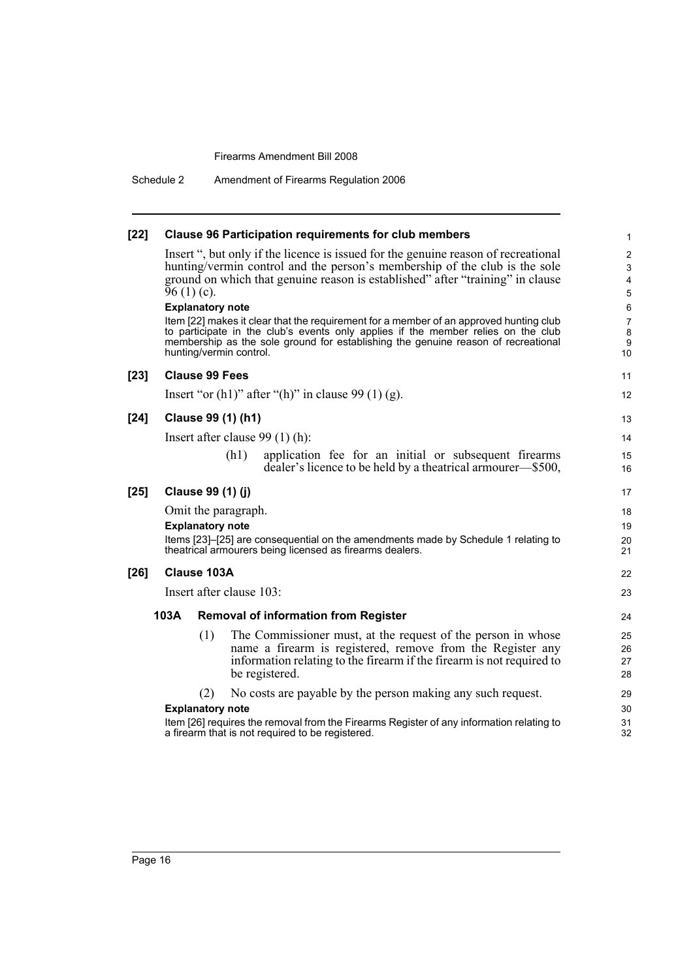Schedule 2 Amendment of Firearms Regulation 2006

| $[22]$ | <b>Clause 96 Participation requirements for club members</b>                                                                                                                                                                                                                                                                                                                                                                                                                                                                                                                                 |                                                                               |  |  |  |
|--------|----------------------------------------------------------------------------------------------------------------------------------------------------------------------------------------------------------------------------------------------------------------------------------------------------------------------------------------------------------------------------------------------------------------------------------------------------------------------------------------------------------------------------------------------------------------------------------------------|-------------------------------------------------------------------------------|--|--|--|
|        | Insert ", but only if the licence is issued for the genuine reason of recreational<br>hunting/vermin control and the person's membership of the club is the sole<br>ground on which that genuine reason is established" after "training" in clause<br>$96(1)(c)$ .<br><b>Explanatory note</b><br>Item [22] makes it clear that the requirement for a member of an approved hunting club<br>to participate in the club's events only applies if the member relies on the club<br>membership as the sole ground for establishing the genuine reason of recreational<br>hunting/vermin control. | $\overline{\mathbf{c}}$<br>3<br>4<br>5<br>6<br>$\overline{7}$<br>8<br>9<br>10 |  |  |  |
| $[23]$ | <b>Clause 99 Fees</b>                                                                                                                                                                                                                                                                                                                                                                                                                                                                                                                                                                        | 11                                                                            |  |  |  |
|        | Insert "or $(h1)$ " after " $(h)$ " in clause 99 $(1)$ $(g)$ .                                                                                                                                                                                                                                                                                                                                                                                                                                                                                                                               | 12                                                                            |  |  |  |
| $[24]$ | Clause 99 (1) (h1)                                                                                                                                                                                                                                                                                                                                                                                                                                                                                                                                                                           | 13                                                                            |  |  |  |
|        | Insert after clause $99(1)$ (h):                                                                                                                                                                                                                                                                                                                                                                                                                                                                                                                                                             | 14                                                                            |  |  |  |
|        | (h1)<br>application fee for an initial or subsequent firearms<br>dealer's licence to be held by a theatrical armourer—\$500,                                                                                                                                                                                                                                                                                                                                                                                                                                                                 | 15<br>16                                                                      |  |  |  |
| $[25]$ | Clause 99 (1) (j)                                                                                                                                                                                                                                                                                                                                                                                                                                                                                                                                                                            |                                                                               |  |  |  |
|        | Omit the paragraph.<br><b>Explanatory note</b><br>Items [23]-[25] are consequential on the amendments made by Schedule 1 relating to<br>theatrical armourers being licensed as firearms dealers.                                                                                                                                                                                                                                                                                                                                                                                             |                                                                               |  |  |  |
| $[26]$ | <b>Clause 103A</b>                                                                                                                                                                                                                                                                                                                                                                                                                                                                                                                                                                           |                                                                               |  |  |  |
|        | Insert after clause 103:                                                                                                                                                                                                                                                                                                                                                                                                                                                                                                                                                                     |                                                                               |  |  |  |
|        | 103A<br><b>Removal of information from Register</b>                                                                                                                                                                                                                                                                                                                                                                                                                                                                                                                                          | 24                                                                            |  |  |  |
|        | (1)<br>The Commissioner must, at the request of the person in whose<br>name a firearm is registered, remove from the Register any<br>information relating to the firearm if the firearm is not required to<br>be registered.                                                                                                                                                                                                                                                                                                                                                                 | 25<br>26<br>27<br>28                                                          |  |  |  |
|        | No costs are payable by the person making any such request.<br>(2)                                                                                                                                                                                                                                                                                                                                                                                                                                                                                                                           | 29                                                                            |  |  |  |
|        | <b>Explanatory note</b>                                                                                                                                                                                                                                                                                                                                                                                                                                                                                                                                                                      |                                                                               |  |  |  |
|        | Item [26] requires the removal from the Firearms Register of any information relating to<br>a firearm that is not required to be registered.                                                                                                                                                                                                                                                                                                                                                                                                                                                 |                                                                               |  |  |  |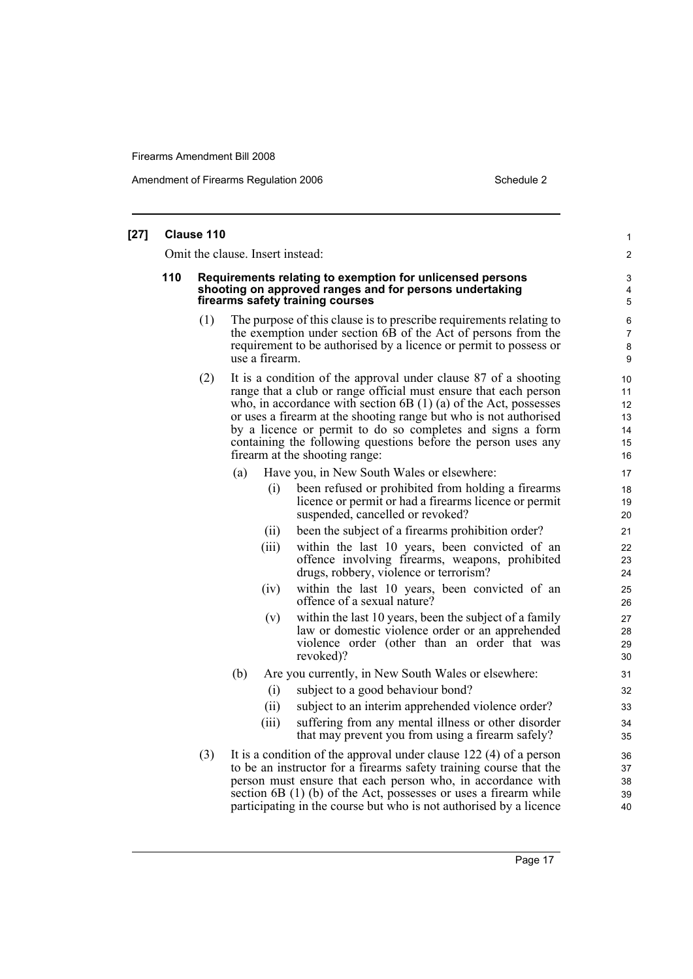| $[27]$ |                                  | Clause 110 |                |                                                                                                                                                                                                                                                                                                                                                                                                                                               | 1                          |  |
|--------|----------------------------------|------------|----------------|-----------------------------------------------------------------------------------------------------------------------------------------------------------------------------------------------------------------------------------------------------------------------------------------------------------------------------------------------------------------------------------------------------------------------------------------------|----------------------------|--|
|        | Omit the clause. Insert instead: |            |                |                                                                                                                                                                                                                                                                                                                                                                                                                                               |                            |  |
|        | 110                              |            |                | Requirements relating to exemption for unlicensed persons<br>shooting on approved ranges and for persons undertaking<br>firearms safety training courses                                                                                                                                                                                                                                                                                      | 3<br>4<br>5                |  |
|        |                                  | (1)        | use a firearm. | The purpose of this clause is to prescribe requirements relating to<br>the exemption under section 6B of the Act of persons from the<br>requirement to be authorised by a licence or permit to possess or                                                                                                                                                                                                                                     | 6<br>7<br>8<br>9           |  |
|        |                                  | (2)        |                | It is a condition of the approval under clause 87 of a shooting<br>range that a club or range official must ensure that each person<br>who, in accordance with section $6B(1)(a)$ of the Act, possesses<br>or uses a firearm at the shooting range but who is not authorised<br>by a licence or permit to do so completes and signs a form<br>containing the following questions before the person uses any<br>firearm at the shooting range: |                            |  |
|        |                                  |            | (a)<br>(i)     | Have you, in New South Wales or elsewhere:<br>been refused or prohibited from holding a firearms<br>licence or permit or had a firearms licence or permit<br>suspended, cancelled or revoked?                                                                                                                                                                                                                                                 | 17<br>18<br>19             |  |
|        |                                  |            | (ii)           | been the subject of a firearms prohibition order?                                                                                                                                                                                                                                                                                                                                                                                             | 20<br>21                   |  |
|        |                                  |            | (iii)          | within the last 10 years, been convicted of an<br>offence involving firearms, weapons, prohibited<br>drugs, robbery, violence or terrorism?                                                                                                                                                                                                                                                                                                   | 22<br>23<br>24             |  |
|        |                                  |            | (iv)           | within the last 10 years, been convicted of an<br>offence of a sexual nature?                                                                                                                                                                                                                                                                                                                                                                 | 25<br>26                   |  |
|        |                                  |            | (v)            | within the last 10 years, been the subject of a family<br>law or domestic violence order or an apprehended<br>violence order (other than an order that was<br>revoked)?                                                                                                                                                                                                                                                                       | 27<br>28<br>29<br>30       |  |
|        |                                  |            | (b)            | Are you currently, in New South Wales or elsewhere:                                                                                                                                                                                                                                                                                                                                                                                           | 31                         |  |
|        |                                  |            | (i)            | subject to a good behaviour bond?                                                                                                                                                                                                                                                                                                                                                                                                             | 32                         |  |
|        |                                  |            | (ii)           | subject to an interim apprehended violence order?                                                                                                                                                                                                                                                                                                                                                                                             | 33                         |  |
|        |                                  |            | (iii)          | suffering from any mental illness or other disorder<br>that may prevent you from using a firearm safely?                                                                                                                                                                                                                                                                                                                                      | 34<br>35                   |  |
|        |                                  | (3)        |                | It is a condition of the approval under clause $122(4)$ of a person<br>to be an instructor for a firearms safety training course that the<br>person must ensure that each person who, in accordance with<br>section $6B(1)$ (b) of the Act, possesses or uses a firearm while<br>participating in the course but who is not authorised by a licence                                                                                           | 36<br>37<br>38<br>39<br>40 |  |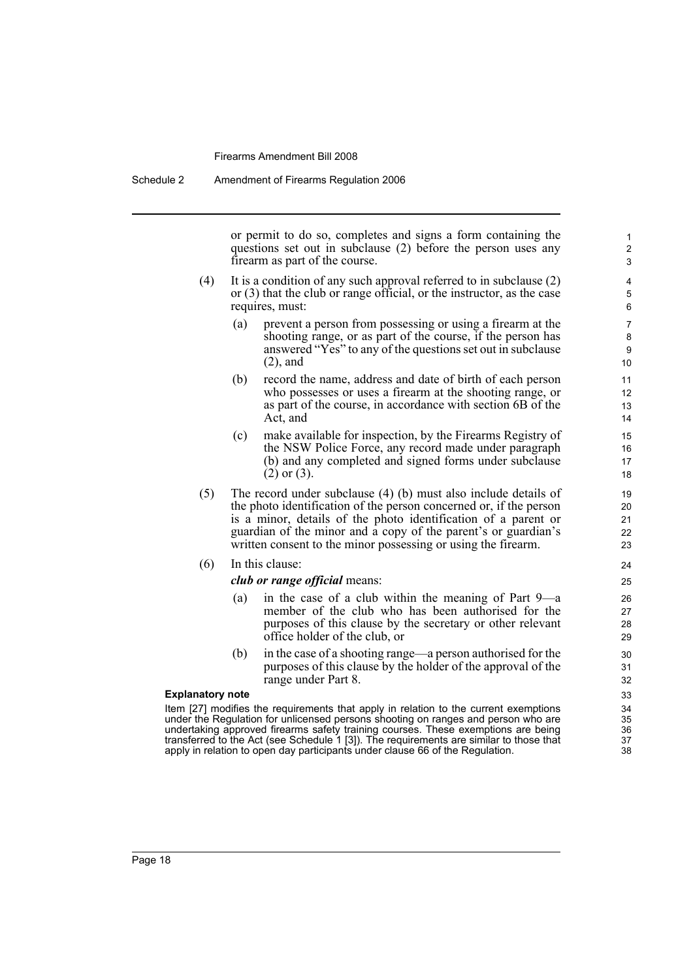or permit to do so, completes and signs a form containing the questions set out in subclause (2) before the person uses any firearm as part of the course.

- (4) It is a condition of any such approval referred to in subclause (2) or (3) that the club or range official, or the instructor, as the case requires, must:
	- (a) prevent a person from possessing or using a firearm at the shooting range, or as part of the course, if the person has answered "Yes" to any of the questions set out in subclause (2), and
	- (b) record the name, address and date of birth of each person who possesses or uses a firearm at the shooting range, or as part of the course, in accordance with section 6B of the Act, and
	- (c) make available for inspection, by the Firearms Registry of the NSW Police Force, any record made under paragraph (b) and any completed and signed forms under subclause (2) or (3).
- (5) The record under subclause (4) (b) must also include details of the photo identification of the person concerned or, if the person is a minor, details of the photo identification of a parent or guardian of the minor and a copy of the parent's or guardian's written consent to the minor possessing or using the firearm.

#### (6) In this clause:

#### *club or range official* means:

- (a) in the case of a club within the meaning of Part 9—a member of the club who has been authorised for the purposes of this clause by the secretary or other relevant office holder of the club, or
- (b) in the case of a shooting range—a person authorised for the purposes of this clause by the holder of the approval of the range under Part 8.

#### **Explanatory note**

Page 18

Item [27] modifies the requirements that apply in relation to the current exemptions under the Regulation for unlicensed persons shooting on ranges and person who are undertaking approved firearms safety training courses. These exemptions are being transferred to the Act (see Schedule 1 [3]). The requirements are similar to those that apply in relation to open day participants under clause 66 of the Regulation.